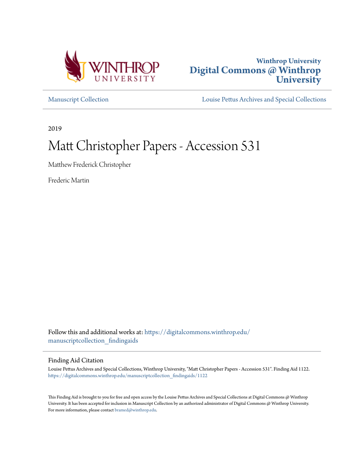



[Manuscript Collection](https://digitalcommons.winthrop.edu/manuscriptcollection_findingaids?utm_source=digitalcommons.winthrop.edu%2Fmanuscriptcollection_findingaids%2F1122&utm_medium=PDF&utm_campaign=PDFCoverPages) [Louise Pettus Archives and Special Collections](https://digitalcommons.winthrop.edu/pettus_archives?utm_source=digitalcommons.winthrop.edu%2Fmanuscriptcollection_findingaids%2F1122&utm_medium=PDF&utm_campaign=PDFCoverPages)

2019

# Matt Christopher Papers - Accession 531

Matthew Frederick Christopher

Frederic Martin

Follow this and additional works at: [https://digitalcommons.winthrop.edu/](https://digitalcommons.winthrop.edu/manuscriptcollection_findingaids?utm_source=digitalcommons.winthrop.edu%2Fmanuscriptcollection_findingaids%2F1122&utm_medium=PDF&utm_campaign=PDFCoverPages) [manuscriptcollection\\_findingaids](https://digitalcommons.winthrop.edu/manuscriptcollection_findingaids?utm_source=digitalcommons.winthrop.edu%2Fmanuscriptcollection_findingaids%2F1122&utm_medium=PDF&utm_campaign=PDFCoverPages)

#### Finding Aid Citation

Louise Pettus Archives and Special Collections, Winthrop University, "Matt Christopher Papers - Accession 531". Finding Aid 1122. [https://digitalcommons.winthrop.edu/manuscriptcollection\\_findingaids/1122](https://digitalcommons.winthrop.edu/manuscriptcollection_findingaids/1122?utm_source=digitalcommons.winthrop.edu%2Fmanuscriptcollection_findingaids%2F1122&utm_medium=PDF&utm_campaign=PDFCoverPages)

This Finding Aid is brought to you for free and open access by the Louise Pettus Archives and Special Collections at Digital Commons @ Winthrop University. It has been accepted for inclusion in Manuscript Collection by an authorized administrator of Digital Commons @ Winthrop University. For more information, please contact [bramed@winthrop.edu.](mailto:bramed@winthrop.edu)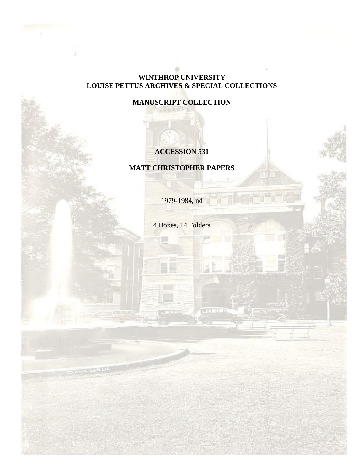## **WINTHROP UNIVERSITY LOUISE PETTUS ARCHIVES & SPECIAL COLLECTIONS**

# **MANUSCRIPT COLLECTION**

# **ACCESSION 531**

## **MATT CHRISTOPHER PAPERS**

1979-1984, nd

4 Boxes, 14 Folders

5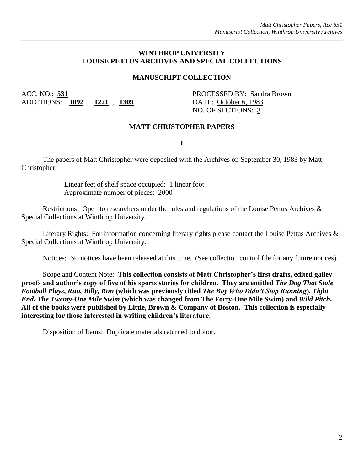#### **WINTHROP UNIVERSITY LOUISE PETTUS ARCHIVES AND SPECIAL COLLECTIONS**

#### **MANUSCRIPT COLLECTION**

ACC. NO.: 531 PROCESSED BY: Sandra Brown ADDITIONS: \_**1092**\_, \_**1221**\_, \_**1309**\_ DATE: October 6, 1983

NO. OF SECTIONS: 3

#### **MATT CHRISTOPHER PAPERS**

**I**

The papers of Matt Christopher were deposited with the Archives on September 30, 1983 by Matt Christopher.

> Linear feet of shelf space occupied: 1 linear foot Approximate number of pieces: 2000

Restrictions: Open to researchers under the rules and regulations of the Louise Pettus Archives & Special Collections at Winthrop University.

Literary Rights: For information concerning literary rights please contact the Louise Pettus Archives & Special Collections at Winthrop University.

Notices: No notices have been released at this time. (See collection control file for any future notices).

Scope and Content Note: **This collection consists of Matt Christopher's first drafts, edited galley proofs and author's copy of five of his sports stories for children. They are entitled** *The Dog That Stole Football Plays***,** *Run, Billy, Run* **(which was previously titled** *The Boy Who Didn't Stop Running***),** *Tight End***,** *The Twenty-One Mile Swim* **(which was changed from The Forty-One Mile Swim) and** *Wild Pitch***. All of the books were published by Little, Brown & Company of Boston. This collection is especially interesting for those interested in writing children's literature**.

Disposition of Items: Duplicate materials returned to donor.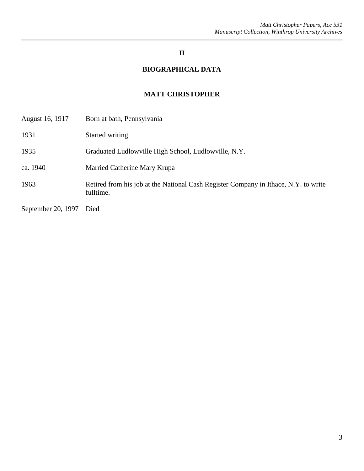# **II**

# **BIOGRAPHICAL DATA**

# **MATT CHRISTOPHER**

| August 16, 1917    | Born at bath, Pennsylvania                                                                       |
|--------------------|--------------------------------------------------------------------------------------------------|
| 1931               | Started writing                                                                                  |
| 1935               | Graduated Ludlowville High School, Ludlowville, N.Y.                                             |
| ca. 1940           | Married Catherine Mary Krupa                                                                     |
| 1963               | Retired from his job at the National Cash Register Company in Ithace, N.Y. to write<br>fulltime. |
| September 20, 1997 | Died                                                                                             |